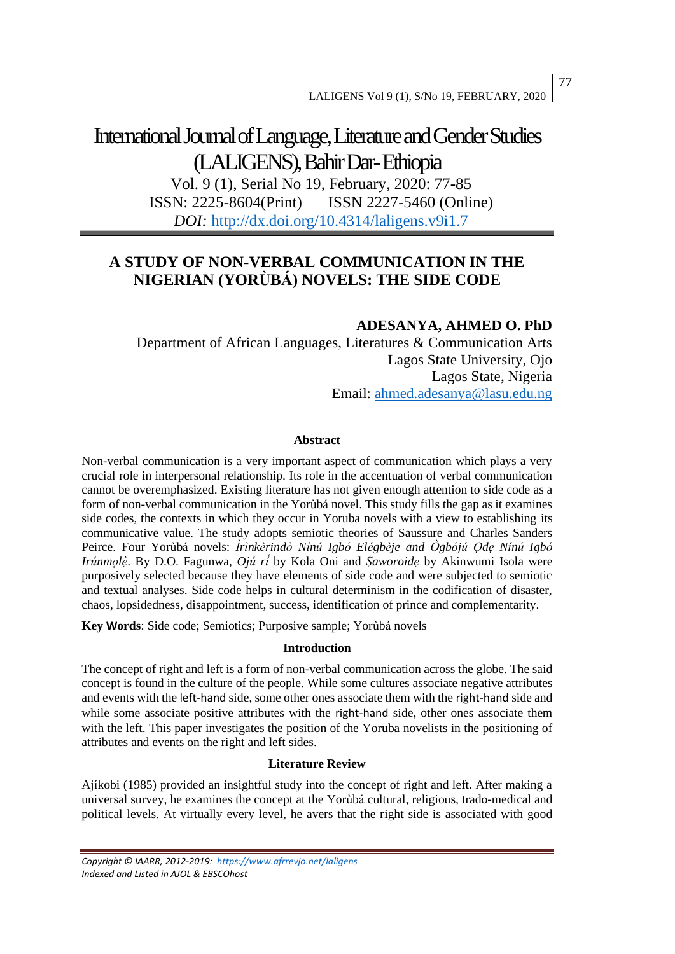# International Journal of Language, Literature and Gender Studies (LALIGENS), Bahir Dar-Ethiopia

Vol. 9 (1), Serial No 19, February, 2020: 77-85 ISSN: 2225-8604(Print) ISSN 2227-5460 (Online) *DOI:* <http://dx.doi.org/10.4314/laligens.v9i1.7>

## **A STUDY OF NON-VERBAL COMMUNICATION IN THE NIGERIAN (YORÙBÁ) NOVELS: THE SIDE CODE**

## **ADESANYA, AHMED O. PhD**

Department of African Languages, Literatures & Communication Arts Lagos State University, Ojo Lagos State, Nigeria Email: [ahmed.adesanya@lasu.edu.ng](mailto:ahmed.adesanya@lasu.edu.ng)

#### **Abstract**

Non-verbal communication is a very important aspect of communication which plays a very crucial role in interpersonal relationship. Its role in the accentuation of verbal communication cannot be overemphasized. Existing literature has not given enough attention to side code as a form of non-verbal communication in the Yorùbá novel. This study fills the gap as it examines side codes, the contexts in which they occur in Yoruba novels with a view to establishing its communicative value. The study adopts semiotic theories of Saussure and Charles Sanders Peirce. Four Yorùbá novels: *Ìrìnkèrindò Nínú Igbó Elégbèje and Ògbójú Ọdẹ Nínú Igbó Irúnmolè*. By D.O. Fagunwa, *Ojú rí* by Kola Oni and *Şaworoide* by Akinwumi Isola were purposively selected because they have elements of side code and were subjected to semiotic and textual analyses. Side code helps in cultural determinism in the codification of disaster, chaos, lopsidedness, disappointment, success, identification of prince and complementarity.

**Key Words**: Side code; Semiotics; Purposive sample; Yorùbá novels

#### **Introduction**

The concept of right and left is a form of non-verbal communication across the globe. The said concept is found in the culture of the people. While some cultures associate negative attributes and events with the left-hand side, some other ones associate them with the right-hand side and while some associate positive attributes with the right-hand side, other ones associate them with the left. This paper investigates the position of the Yoruba novelists in the positioning of attributes and events on the right and left sides.

### **Literature Review**

Ajíkobi (1985) provided an insightful study into the concept of right and left. After making a universal survey, he examines the concept at the Yorùbá cultural, religious, trado-medical and political levels. At virtually every level, he avers that the right side is associated with good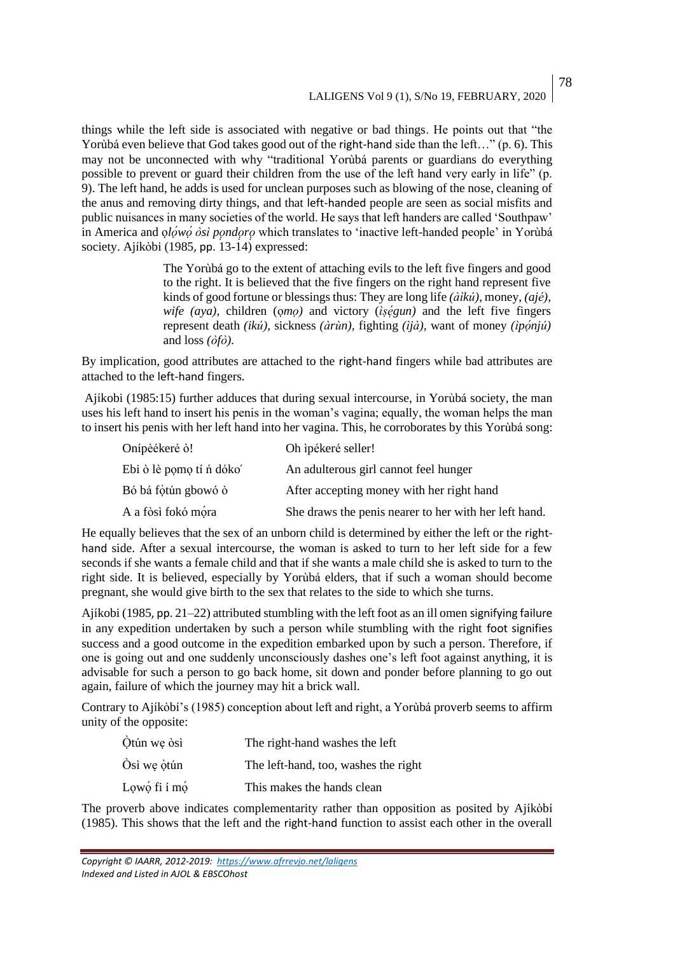78

things while the left side is associated with negative or bad things. He points out that "the Yorùbá even believe that God takes good out of the right-hand side than the left..." (p. 6). This may not be unconnected with why "traditional Yorùbá parents or guardians do everything possible to prevent or guard their children from the use of the left hand very early in life" (p. 9). The left hand, he adds is used for unclean purposes such as blowing of the nose, cleaning of the anus and removing dirty things, and that left-handed people are seen as social misfits and public nuisances in many societies of the world. He says that left handers are called 'Southpaw' in America and *olówó òsì pondoro* which translates to 'inactive left-handed people' in Yorùbá society. Ajíkòbi (1985, pp. 13-14) expressed:

> The Yorùbá go to the extent of attaching evils to the left five fingers and good to the right. It is believed that the five fingers on the right hand represent five kinds of good fortune or blessings thus: They are long life *(àìkú)*, money, *(ajé), wife (aya)*, children (omo) and victory (*iṣégun*) and the left five fingers represent death *(ikú),* sickness *(àrùn),* fighting *(ìjà),* want of money *(ìpọ́́njú)* and loss *(òfò).*

By implication, good attributes are attached to the right-hand fingers while bad attributes are attached to the left-hand fingers.

Ajíkobi (1985:15) further adduces that during sexual intercourse, in Yorùbá society, the man uses his left hand to insert his penis in the woman's vagina; equally, the woman helps the man to insert his penis with her left hand into her vagina. This, he corroborates by this Yorùbá song:

| Onípèékeré ò!            | Oh ipékeré seller!                                    |
|--------------------------|-------------------------------------------------------|
| Ebi ò lè pomo tí n dóko' | An adulterous girl cannot feel hunger                 |
| Bó bá fòtún gbowó ò      | After accepting money with her right hand             |
| A a fòsì fokó móra       | She draws the penis nearer to her with her left hand. |

He equally believes that the sex of an unborn child is determined by either the left or the righthand side. After a sexual intercourse, the woman is asked to turn to her left side for a few seconds if she wants a female child and that if she wants a male child she is asked to turn to the right side. It is believed, especially by Yorùbá elders, that if such a woman should become pregnant, she would give birth to the sex that relates to the side to which she turns.

Ajíkobi (1985, pp. 21–22) attributed stumbling with the left foot as an ill omen signifying failure in any expedition undertaken by such a person while stumbling with the right foot signifies success and a good outcome in the expedition embarked upon by such a person. Therefore, if one is going out and one suddenly unconsciously dashes one's left foot against anything, it is advisable for such a person to go back home, sit down and ponder before planning to go out again, failure of which the journey may hit a brick wall.

Contrary to Ajíkòbí's (1985) conception about left and right, a Yorùbá proverb seems to affirm unity of the opposite:

| Otún we òsì      | The right-hand washes the left       |
|------------------|--------------------------------------|
| Òsì we òtún      | The left-hand, too, washes the right |
| Lowó fi $\sin 6$ | This makes the hands clean           |

The proverb above indicates complementarity rather than opposition as posited by Ajíkòbí (1985). This shows that the left and the right-hand function to assist each other in the overall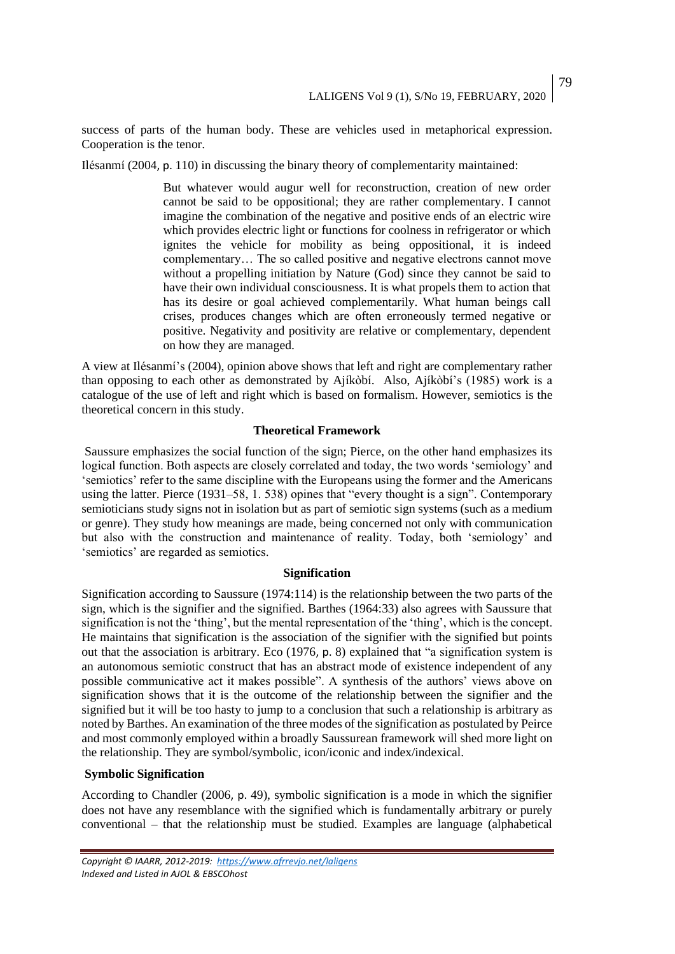success of parts of the human body. These are vehicles used in metaphorical expression. Cooperation is the tenor.

Ilésanmí (2004, p. 110) in discussing the binary theory of complementarity maintained:

But whatever would augur well for reconstruction, creation of new order cannot be said to be oppositional; they are rather complementary. I cannot imagine the combination of the negative and positive ends of an electric wire which provides electric light or functions for coolness in refrigerator or which ignites the vehicle for mobility as being oppositional, it is indeed complementary… The so called positive and negative electrons cannot move without a propelling initiation by Nature (God) since they cannot be said to have their own individual consciousness. It is what propels them to action that has its desire or goal achieved complementarily. What human beings call crises, produces changes which are often erroneously termed negative or positive. Negativity and positivity are relative or complementary, dependent on how they are managed.

A view at Ilésanmí's (2004), opinion above shows that left and right are complementary rather than opposing to each other as demonstrated by Ajíkòbí. Also, Ajíkòbí's (1985) work is a catalogue of the use of left and right which is based on formalism. However, semiotics is the theoretical concern in this study.

#### **Theoretical Framework**

Saussure emphasizes the social function of the sign; Pierce, on the other hand emphasizes its logical function. Both aspects are closely correlated and today, the two words 'semiology' and 'semiotics' refer to the same discipline with the Europeans using the former and the Americans using the latter. Pierce (1931–58, 1. 538) opines that "every thought is a sign". Contemporary semioticians study signs not in isolation but as part of semiotic sign systems (such as a medium or genre). They study how meanings are made, being concerned not only with communication but also with the construction and maintenance of reality. Today, both 'semiology' and 'semiotics' are regarded as semiotics.

#### **Signification**

Signification according to Saussure (1974:114) is the relationship between the two parts of the sign, which is the signifier and the signified. Barthes (1964:33) also agrees with Saussure that signification is not the 'thing', but the mental representation of the 'thing', which is the concept. He maintains that signification is the association of the signifier with the signified but points out that the association is arbitrary. Eco (1976, p. 8) explained that "a signification system is an autonomous semiotic construct that has an abstract mode of existence independent of any possible communicative act it makes possible". A synthesis of the authors' views above on signification shows that it is the outcome of the relationship between the signifier and the signified but it will be too hasty to jump to a conclusion that such a relationship is arbitrary as noted by Barthes. An examination of the three modes of the signification as postulated by Peirce and most commonly employed within a broadly Saussurean framework will shed more light on the relationship. They are symbol/symbolic, icon/iconic and index/indexical.

#### **Symbolic Signification**

According to Chandler (2006, p. 49), symbolic signification is a mode in which the signifier does not have any resemblance with the signified which is fundamentally arbitrary or purely conventional – that the relationship must be studied. Examples are language (alphabetical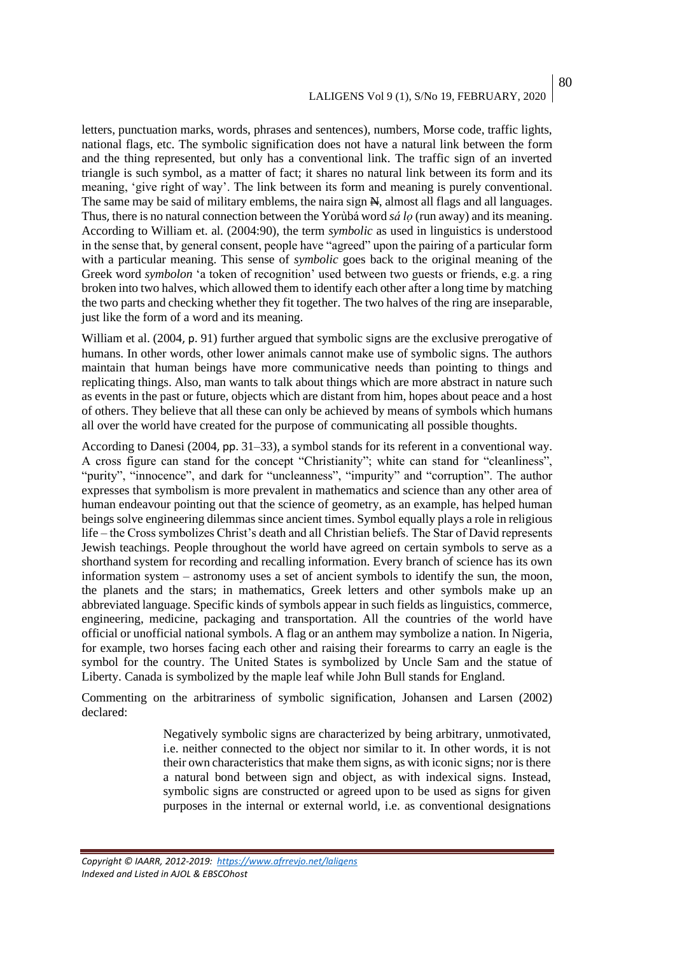letters, punctuation marks, words, phrases and sentences), numbers, Morse code, traffic lights, national flags, etc. The symbolic signification does not have a natural link between the form and the thing represented, but only has a conventional link. The traffic sign of an inverted triangle is such symbol, as a matter of fact; it shares no natural link between its form and its meaning, 'give right of way'. The link between its form and meaning is purely conventional. The same may be said of military emblems, the naira sign  $\mathbb{H}$ , almost all flags and all languages. Thus, there is no natural connection between the Yorùbá word *sá lọ* (run away) and its meaning. According to William et. al. (2004:90), the term *symbolic* as used in linguistics is understood in the sense that, by general consent, people have "agreed" upon the pairing of a particular form with a particular meaning. This sense of *symbolic* goes back to the original meaning of the Greek word *symbolon* 'a token of recognition' used between two guests or friends, e.g. a ring broken into two halves, which allowed them to identify each other after a long time by matching the two parts and checking whether they fit together. The two halves of the ring are inseparable, just like the form of a word and its meaning.

William et al. (2004, p. 91) further argued that symbolic signs are the exclusive prerogative of humans. In other words, other lower animals cannot make use of symbolic signs. The authors maintain that human beings have more communicative needs than pointing to things and replicating things. Also, man wants to talk about things which are more abstract in nature such as events in the past or future, objects which are distant from him, hopes about peace and a host of others. They believe that all these can only be achieved by means of symbols which humans all over the world have created for the purpose of communicating all possible thoughts.

According to Danesi (2004, pp. 31–33), a symbol stands for its referent in a conventional way. A cross figure can stand for the concept "Christianity"; white can stand for "cleanliness", "purity", "innocence", and dark for "uncleanness", "impurity" and "corruption". The author expresses that symbolism is more prevalent in mathematics and science than any other area of human endeavour pointing out that the science of geometry, as an example, has helped human beings solve engineering dilemmas since ancient times. Symbol equally plays a role in religious life – the Cross symbolizes Christ's death and all Christian beliefs. The Star of David represents Jewish teachings. People throughout the world have agreed on certain symbols to serve as a shorthand system for recording and recalling information. Every branch of science has its own information system – astronomy uses a set of ancient symbols to identify the sun, the moon, the planets and the stars; in mathematics, Greek letters and other symbols make up an abbreviated language. Specific kinds of symbols appear in such fields as linguistics, commerce, engineering, medicine, packaging and transportation. All the countries of the world have official or unofficial national symbols. A flag or an anthem may symbolize a nation. In Nigeria, for example, two horses facing each other and raising their forearms to carry an eagle is the symbol for the country. The United States is symbolized by Uncle Sam and the statue of Liberty. Canada is symbolized by the maple leaf while John Bull stands for England.

Commenting on the arbitrariness of symbolic signification, Johansen and Larsen (2002) declared:

> Negatively symbolic signs are characterized by being arbitrary, unmotivated, i.e. neither connected to the object nor similar to it. In other words, it is not their own characteristics that make them signs, as with iconic signs; nor is there a natural bond between sign and object, as with indexical signs. Instead, symbolic signs are constructed or agreed upon to be used as signs for given purposes in the internal or external world, i.e. as conventional designations

*Copyright © IAARR, 2012-2019: <https://www.afrrevjo.net/laligens> Indexed and Listed in AJOL & EBSCOhost*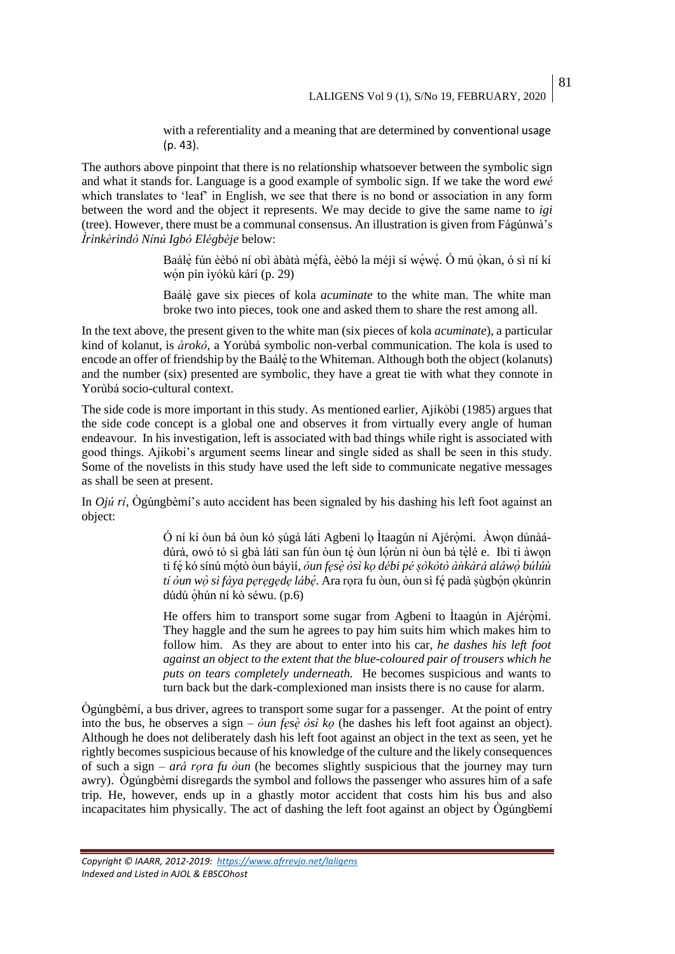81

with a referentiality and a meaning that are determined by conventional usage (p. 43).

The authors above pinpoint that there is no relationship whatsoever between the symbolic sign and what it stands for. Language is a good example of symbolic sign. If we take the word *ewé* which translates to 'leaf' in English, we see that there is no bond or association in any form between the word and the object it represents. We may decide to give the same name to *igi* (tree). However, there must be a communal consensus. An illustration is given from Fágúnwà's *Ìrìnkèrindò Nínú Igbó Elégbèje* below:

> Baálè fún èèbó ní obì àbàtà méfà, èèbó la méjì sí wéwé. Ó mú òkan, ó sì ní kí wón pín ìyókù kárí (p. 29)

> Baálè ̣̀gave six pieces of kola *acuminate* to the white man. The white man broke two into pieces, took one and asked them to share the rest among all.

In the text above, the present given to the white man (six pieces of kola *acuminate*), a particular kind of kolanut, is *àrokò*, a Yorùbá symbolic non-verbal communication. The kola is used to encode an offer of friendship by the Baále to the Whiteman. Although both the object (kolanuts) and the number (six) presented are symbolic, they have a great tie with what they connote in Yorùbá socio-cultural context.

The side code is more important in this study. As mentioned earlier, Ajíkòbi (1985) argues that the side code concept is a global one and observes it from virtually every angle of human endeavour. In his investigation, left is associated with bad things while right is associated with good things. Ajikobi's argument seems linear and single sided as shall be seen in this study. Some of the novelists in this study have used the left side to communicate negative messages as shall be seen at present.

In *Ojú rí*, Ògúngbèmí's auto accident has been signaled by his dashing his left foot against an object:

> Ó ní kí òun bá òun kó ṣúgà láti Agbeni lọ Ìtaagún ní Ajérọ̀mí. Àwọn dúnàá dúrà, owó tó sì gbà láti san fún òun tẹ́ òun lọ́rùn ni òun bá tẹ̀lé e. Ibi tí àwọn ti fẹ́kó sínú mọ́ tò òun báyìí, *òun fẹsẹ̀ òsì kọ débi pé ṣòkòtò àǹkàrá aláwọ̀ búlúù tí òun wọ̀sì fàya pẹrẹgẹdẹ lábẹ́́* . Ara rọra fu òun, òun sì fẹ́padà ṣùgbọ́n ọkùnrin dúdú ọ̀hún ní kò séwu. (p.6)

> He offers him to transport some sugar from Agbeni to Ítaagún in Ajéròmí. They haggle and the sum he agrees to pay him suits him which makes him to follow him. As they are about to enter into his car, *he dashes his left foot against an object to the extent that the blue-coloured pair of trousers which he puts on tears completely underneath.* He becomes suspicious and wants to turn back but the dark-complexioned man insists there is no cause for alarm.

Ògúngbèmí, a bus driver, agrees to transport some sugar for a passenger. At the point of entry into the bus, he observes a sign – *òun fẹsẹ̀ òsì kọ* (he dashes his left foot against an object). Although he does not deliberately dash his left foot against an object in the text as seen, yet he rightly becomes suspicious because of his knowledge of the culture and the likely consequences of such a sign *– ará rọra fu òun* (he becomes slightly suspicious that the journey may turn awry). Ògúngbèmí disregards the symbol and follows the passenger who assures him of a safe trip. He, however, ends up in a ghastly motor accident that costs him his bus and also incapacitates him physically. The act of dashing the left foot against an object by  $\dot{O}$ gúngbèmí

*Copyright © IAARR, 2012-2019: <https://www.afrrevjo.net/laligens> Indexed and Listed in AJOL & EBSCOhost*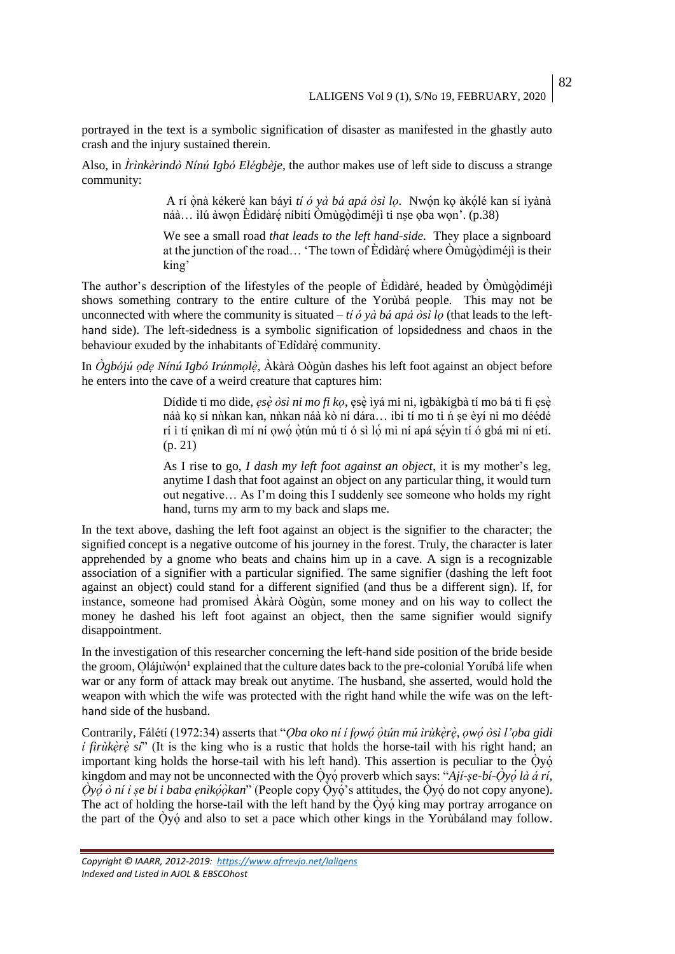portrayed in the text is a symbolic signification of disaster as manifested in the ghastly auto crash and the injury sustained therein.

Also, in *Ìrìnkèrindò Nínú Igbó Elégbèje*, the author makes use of left side to discuss a strange community:

> A rí ọ̀nà kékeré kan báyi *tí ó yà bá apá òsì lọ.* Nwọ́n kọ àkọ́ lé kan sí ìyànà náà... ìlú àwọn Èdìdàrẹ́ níbití Òmùgọ̀diméjì ti nṣe ọba wọn'. (p.38)

> We see a small road *that leads to the left hand-side.* They place a signboard at the junction of the road… 'The town of Edidare' where Omugodimet is their king'

The author's description of the lifestyles of the people of Edidaré, headed by Òmùgòdiméjì shows something contrary to the entire culture of the Yorùbá people. This may not be unconnected with where the community is situated *– tí ó yà bá apá òsì lọ* (that leads to the lefthand side). The left-sidedness is a symbolic signification of lopsidedness and chaos in the behaviour exuded by the inhabitants of ̀Edìdàré ̩̀ community.

In *Ògbójú ọdẹ Nínú Igbó Irúnmọlẹ̀ ,* Àkàrà Oògùn dashes his left foot against an object before he enters into the cave of a weird creature that captures him:

> Dídìde ti mo dìde, *ẹsẹ̀ òsì ni mo fi kọ*, ẹsẹ̀ ìyá mi ni, ìgbàkígbà tí mo bá ti fi ẹsẹ̀ náà ko sí n $\hat{n}$ kan kan, n $\hat{n}$ kan náà kò ní dára... ibi tí mo ti ń se èví ni mo déédé rí i tí ẹnìkan dì mí ní ọwọ́ ọ̀ tún mú tí ó sì lọ́ mi ní apá sẹ́yìn tí ó gbá mi ní etí. (p. 21)

> As I rise to go, *I dash my left foot against an object*, it is my mother's leg, anytime I dash that foot against an object on any particular thing, it would turn out negative… As I'm doing this I suddenly see someone who holds my right hand, turns my arm to my back and slaps me.

In the text above, dashing the left foot against an object is the signifier to the character; the signified concept is a negative outcome of his journey in the forest. Truly, the character is later apprehended by a gnome who beats and chains him up in a cave. A sign is a recognizable association of a signifier with a particular signified. The same signifier (dashing the left foot against an object) could stand for a different signified (and thus be a different sign). If, for instance, someone had promised Àkàrà Oògùn, some money and on his way to collect the money he dashed his left foot against an object, then the same signifier would signify disappointment.

In the investigation of this researcher concerning the left-hand side position of the bride beside the groom, Olájùwon<sup>1</sup> explained that the culture dates back to the pre-colonial Yoruba life when war or any form of attack may break out anytime. The husband, she asserted, would hold the weapon with which the wife was protected with the right hand while the wife was on the lefthand side of the husband.

Contrarily, Fálétí (1972:34) asserts that "*Ọba oko ní í fọwọ́́ ọ̀ tún mú ìrùkẹ̀rẹ̀ , ọwọ́́ òsì l'ọba gidi í firùkèrè sí*" (It is the king who is a rustic that holds the horse-tail with his right hand; an important king holds the horse-tail with his left hand). This assertion is peculiar to the  $\dot{Q}y\dot{Q}$ kingdom and may not be unconnected with the Ọ̀yọ́ proverb which says: "*Ají-ṣe-bí-Ọ̀yọ́́ là á rí,*   $\hat{O}$ *γọ́ ò ní í ṣe bí i baba ẹnìkọ́òkan*" (People copy Òγọ́'s attitudes, the Òγọ́ do not copy anyone). The act of holding the horse-tail with the left hand by the  $\dot{O}$ yó king may portray arrogance on the part of the Ọ̀yọ́ and also to set a pace which other kings in the Yorùbáland may follow.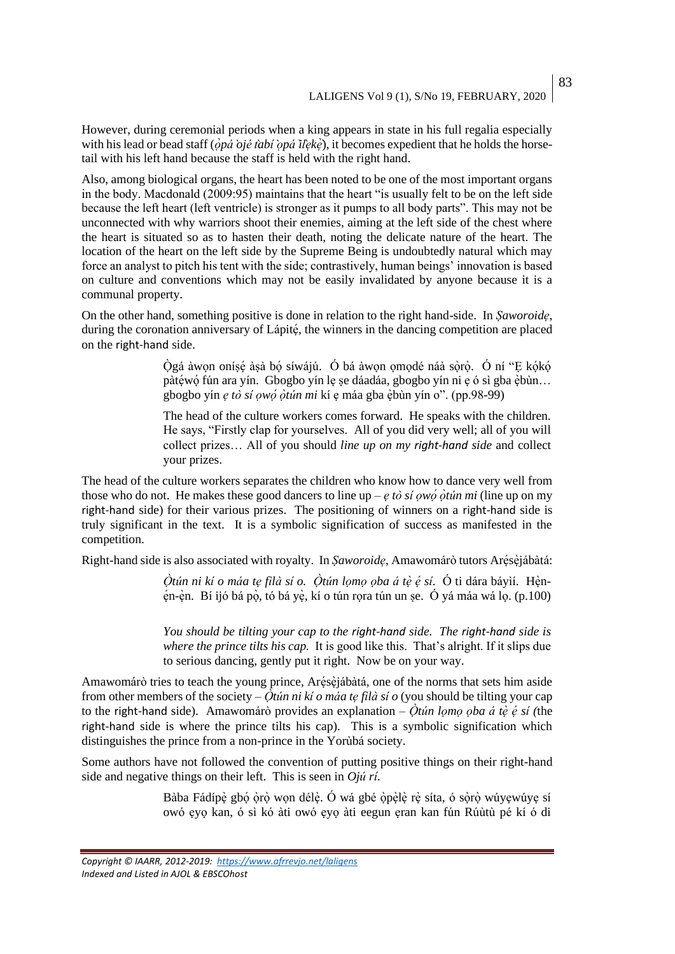83

However, during ceremonial periods when a king appears in state in his full regalia especially with his lead or bead staff ( $\dot{\rho}p\acute{a}$  *o`jé t`abí*  $\dot{\rho}p\acute{a}$  *ì*[ $\dot{\epsilon}$ }, it becomes expedient that he holds the horsetail with his left hand because the staff is held with the right hand.

Also, among biological organs, the heart has been noted to be one of the most important organs in the body. Macdonald (2009:95) maintains that the heart "is usually felt to be on the left side because the left heart (left ventricle) is stronger as it pumps to all body parts". This may not be unconnected with why warriors shoot their enemies, aiming at the left side of the chest where the heart is situated so as to hasten their death, noting the delicate nature of the heart. The location of the heart on the left side by the Supreme Being is undoubtedly natural which may force an analyst to pitch his tent with the side; contrastively, human beings' innovation is based on culture and conventions which may not be easily invalidated by anyone because it is a communal property.

On the other hand, something positive is done in relation to the right hand-side. In *Ṣaworoidẹ*, during the coronation anniversary of Lápité, the winners in the dancing competition are placed on the right-hand side.

> Ọ̀gá àwọn oníṣẹ́ àṣà bọ́ síwájú. Ó bá àwọn ọmọdé náà sọ̀rọ̀ . Ó ní "Ẹ kọ́kọ́ pàtéwó fún ara yín. Gbogbo yín le se dáadáa, gbogbo yín ni e ó sì gba èbùn... gbogbo yín *ẹ tò sí ọwọ́́ ọ̀ tún mi* kí ẹ máa gba ẹ̀bùn yín o". (pp.98-99)

> The head of the culture workers comes forward. He speaks with the children. He says, "Firstly clap for yourselves. All of you did very well; all of you will collect prizes… All of you should *line up on my right-hand side* and collect your prizes.

The head of the culture workers separates the children who know how to dance very well from those who do not. He makes these good dancers to line up – *ẹ tò sí ọwọ́́ ọ̀ tún mi* (line up on my right-hand side) for their various prizes. The positioning of winners on a right-hand side is truly significant in the text. It is a symbolic signification of success as manifested in the competition.

Right-hand side is also associated with royalty. In *Şaworoide*, Amawomárò tutors Arésèjábàtá:

*Ọ̀tún ni kí o máa tẹ fìlà sí o. Ọ̀tún lọmọ ọba á tẹ̀ ẹ́́ sí*. Ó ti dára báyìí. Hẹ̀nẹ́n-ẹ̀n. Bí ijó bá pọ̀ , tó bá yẹ̀ , kí o tún rọra tún un ṣe. Ó yá máa wá lọ. (p.100)

*You should be tilting your cap to the right-hand side. The right-hand side is where the prince tilts his cap.* It is good like this. That's alright. If it slips due to serious dancing, gently put it right. Now be on your way.

Amawomárò tries to teach the young prince, Arésèjábàtá, one of the norms that sets him aside from other members of the society – *Ọ̀tún ni kí o máa tẹ fìlà sí o* (you should be tilting your cap to the right-hand side). Amawomárò provides an explanation – *Ọ̀tún lọmọ ọba á tẹ̀ ẹ́́ sí (*the right-hand side is where the prince tilts his cap). This is a symbolic signification which distinguishes the prince from a non-prince in the Yorùbá society.

Some authors have not followed the convention of putting positive things on their right-hand side and negative things on their left. This is seen in *Ojú rí.*

> Bàba Fádípè gbó òrò wọn délè. Ó wá gbé òpèlè rè síta, ó sòrò wúyẹwúyẹ sí owó ẹyọ kan, ó sì kó àti owó ẹyọ àti eegun ẹran kan fún Rúùtù pé kí ó di

*Copyright © IAARR, 2012-2019: <https://www.afrrevjo.net/laligens> Indexed and Listed in AJOL & EBSCOhost*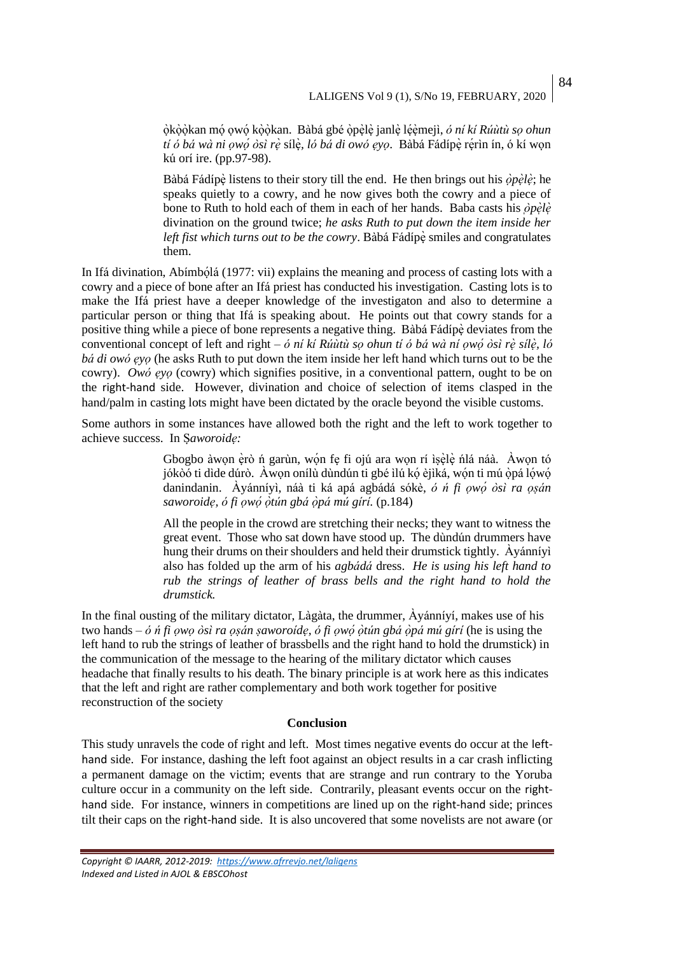ọ̀kọ̀ọ̀kan mọ́ ọwọ́ kọ̀ọ̀kan. Bàbá gbé ọ̀pẹ̀ lẹ̀ janlẹ̀ lẹ́ẹ̀mejì, *ó ní kí Rúùtù sọ ohun tí ó bá wà ni ọwọ́́ òsì rẹ̀* sílẹ̀ *, ló bá di owó ẹyọ*. Bàbá Fádípẹ̀rẹ́rìn ín, ó kí wọn kú orí ire. (pp.97-98).

Bàbá Fádípè listens to their story till the end. He then brings out his  $\partial p \dot{\rho} \dot{\rho}$ ; he speaks quietly to a cowry, and he now gives both the cowry and a piece of bone to Ruth to hold each of them in each of her hands. Baba casts his  $\partial p \partial \dot{\theta}$ *̀ ̀* divination on the ground twice; *he asks Ruth to put down the item inside her left fist which turns out to be the cowry*. Bàbá Fádípè smiles and congratulates them.

In Ifá divination, Abímbọ́ lá (1977: vii) explains the meaning and process of casting lots with a cowry and a piece of bone after an Ifá priest has conducted his investigation. Casting lots is to make the Ifá priest have a deeper knowledge of the investigaton and also to determine a particular person or thing that Ifá is speaking about. He points out that cowry stands for a positive thing while a piece of bone represents a negative thing. Bàbá Fádípè deviates from the conventional concept of left and right – *ó ní kí Rúùtù sọ ohun tí ó bá wà ní ọwọ́́ òsì rẹ̀ sílẹ̀ , ló bá di owó ẹyọ* (he asks Ruth to put down the item inside her left hand which turns out to be the cowry). *Owó ẹyọ* (cowry) which signifies positive, in a conventional pattern, ought to be on the right-hand side. However, divination and choice of selection of items clasped in the hand/palm in casting lots might have been dictated by the oracle beyond the visible customs.

Some authors in some instances have allowed both the right and the left to work together to achieve success. In Ṣ*aworoidẹ:*

> Gbogbo àwọn ẹ̀rò ń garùn, wọn fẹ fi ojú ara wọn rí ìṣẹ̀lẹ̀ nlá náà. Awọn tó jókòó ti dìde dúrò. Àwon onílù dùndún ti gbé ìlú kó èjìká, wón ti mú òpá lówó danindanin. Àyánníyì, náà ti ká apá agbádá sókè, *ó ń fi ọwọ́́ òsì ra ọṣán saworoidẹ, ó fi ọwọ́́ ọ̀ tún gbá ọ̀pá mú gírí.* (p.184)

> All the people in the crowd are stretching their necks; they want to witness the great event. Those who sat down have stood up. The dùndún drummers have hung their drums on their shoulders and held their drumstick tightly. Àyánníyì also has folded up the arm of his *agbádá* dress. *He is using his left hand to rub the strings of leather of brass bells and the right hand to hold the drumstick.*

In the final ousting of the military dictator, Làgàta, the drummer, Àyánníyí, makes use of his two hands *– ó ń fi ọwọ òsì ra ọṣán ṣaworoídẹ, ó fi ọwọ́́ ọ̀ tún gbá ọ̀pá mú gírí* (he is using the left hand to rub the strings of leather of brassbells and the right hand to hold the drumstick) in the communication of the message to the hearing of the military dictator which causes headache that finally results to his death. The binary principle is at work here as this indicates that the left and right are rather complementary and both work together for positive reconstruction of the society

#### **Conclusion**

This study unravels the code of right and left. Most times negative events do occur at the lefthand side. For instance, dashing the left foot against an object results in a car crash inflicting a permanent damage on the victim; events that are strange and run contrary to the Yoruba culture occur in a community on the left side. Contrarily, pleasant events occur on the righthand side. For instance, winners in competitions are lined up on the right-hand side; princes tilt their caps on the right-hand side. It is also uncovered that some novelists are not aware (or